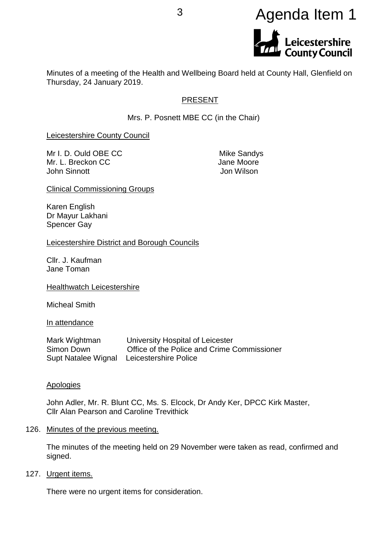# <sup>3</sup> Agenda Item 1**Leicestershire<br>County Council**

Minutes of a meeting of the Health and Wellbeing Board held at County Hall, Glenfield on Thursday, 24 January 2019.

# PRESENT

Mrs. P. Posnett MBE CC (in the Chair)

Leicestershire County Council

Mr I. D. Ould OBE CC Mike Sandys Mr. L. Breckon CC **Jane Moore** John Sinnott Jon Wilson

Clinical Commissioning Groups

Karen English Dr Mayur Lakhani Spencer Gay

Leicestershire District and Borough Councils

Cllr. J. Kaufman Jane Toman

Healthwatch Leicestershire

Micheal Smith

In attendance

Mark Wightman University Hospital of Leicester Simon Down Office of the Police and Crime Commissioner Supt Natalee Wignal Leicestershire Police

# Apologies

John Adler, Mr. R. Blunt CC, Ms. S. Elcock, Dr Andy Ker, DPCC Kirk Master, Cllr Alan Pearson and Caroline Trevithick

126. Minutes of the previous meeting.

The minutes of the meeting held on 29 November were taken as read, confirmed and signed.

127. Urgent items.

There were no urgent items for consideration.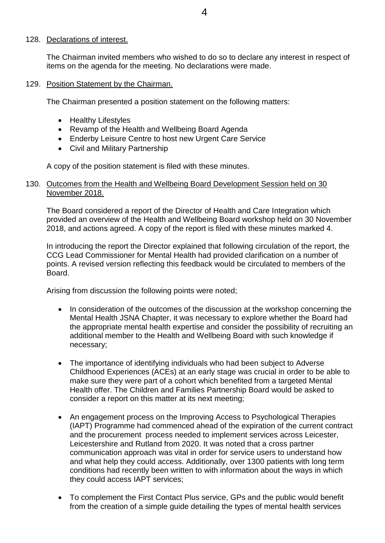#### 128. Declarations of interest.

The Chairman invited members who wished to do so to declare any interest in respect of items on the agenda for the meeting. No declarations were made.

## 129. Position Statement by the Chairman.

The Chairman presented a position statement on the following matters:

- Healthy Lifestyles
- Revamp of the Health and Wellbeing Board Agenda
- Enderby Leisure Centre to host new Urgent Care Service
- Civil and Military Partnership

A copy of the position statement is filed with these minutes.

# 130. Outcomes from the Health and Wellbeing Board Development Session held on 30 November 2018.

The Board considered a report of the Director of Health and Care Integration which provided an overview of the Health and Wellbeing Board workshop held on 30 November 2018, and actions agreed. A copy of the report is filed with these minutes marked 4.

In introducing the report the Director explained that following circulation of the report, the CCG Lead Commissioner for Mental Health had provided clarification on a number of points. A revised version reflecting this feedback would be circulated to members of the Board.

Arising from discussion the following points were noted;

- In consideration of the outcomes of the discussion at the workshop concerning the Mental Health JSNA Chapter, it was necessary to explore whether the Board had the appropriate mental health expertise and consider the possibility of recruiting an additional member to the Health and Wellbeing Board with such knowledge if necessary;
- The importance of identifying individuals who had been subject to Adverse Childhood Experiences (ACEs) at an early stage was crucial in order to be able to make sure they were part of a cohort which benefited from a targeted Mental Health offer. The Children and Families Partnership Board would be asked to consider a report on this matter at its next meeting;
- An engagement process on the Improving Access to Psychological Therapies (IAPT) Programme had commenced ahead of the expiration of the current contract and the procurement process needed to implement services across Leicester, Leicestershire and Rutland from 2020. It was noted that a cross partner communication approach was vital in order for service users to understand how and what help they could access. Additionally, over 1300 patients with long term conditions had recently been written to with information about the ways in which they could access IAPT services;
- To complement the First Contact Plus service, GPs and the public would benefit from the creation of a simple guide detailing the types of mental health services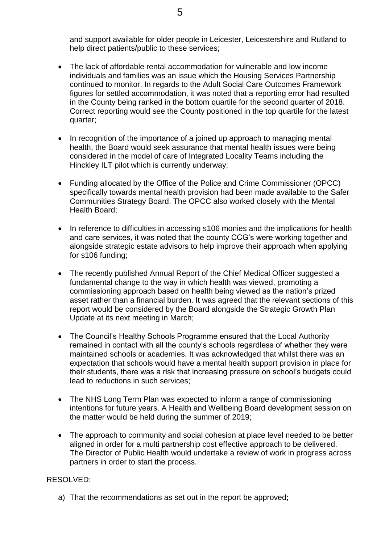and support available for older people in Leicester, Leicestershire and Rutland to help direct patients/public to these services;

- The lack of affordable rental accommodation for vulnerable and low income individuals and families was an issue which the Housing Services Partnership continued to monitor. In regards to the Adult Social Care Outcomes Framework figures for settled accommodation, it was noted that a reporting error had resulted in the County being ranked in the bottom quartile for the second quarter of 2018. Correct reporting would see the County positioned in the top quartile for the latest quarter;
- In recognition of the importance of a joined up approach to managing mental health, the Board would seek assurance that mental health issues were being considered in the model of care of Integrated Locality Teams including the Hinckley ILT pilot which is currently underway;
- Funding allocated by the Office of the Police and Crime Commissioner (OPCC) specifically towards mental health provision had been made available to the Safer Communities Strategy Board. The OPCC also worked closely with the Mental Health Board;
- In reference to difficulties in accessing s106 monies and the implications for health and care services, it was noted that the county CCG's were working together and alongside strategic estate advisors to help improve their approach when applying for s106 funding;
- The recently published Annual Report of the Chief Medical Officer suggested a fundamental change to the way in which health was viewed, promoting a commissioning approach based on health being viewed as the nation's prized asset rather than a financial burden. It was agreed that the relevant sections of this report would be considered by the Board alongside the Strategic Growth Plan Update at its next meeting in March;
- The Council's Healthy Schools Programme ensured that the Local Authority remained in contact with all the county's schools regardless of whether they were maintained schools or academies. It was acknowledged that whilst there was an expectation that schools would have a mental health support provision in place for their students, there was a risk that increasing pressure on school's budgets could lead to reductions in such services;
- The NHS Long Term Plan was expected to inform a range of commissioning intentions for future years. A Health and Wellbeing Board development session on the matter would be held during the summer of 2019;
- The approach to community and social cohesion at place level needed to be better aligned in order for a multi partnership cost effective approach to be delivered. The Director of Public Health would undertake a review of work in progress across partners in order to start the process.

# RESOLVED:

a) That the recommendations as set out in the report be approved;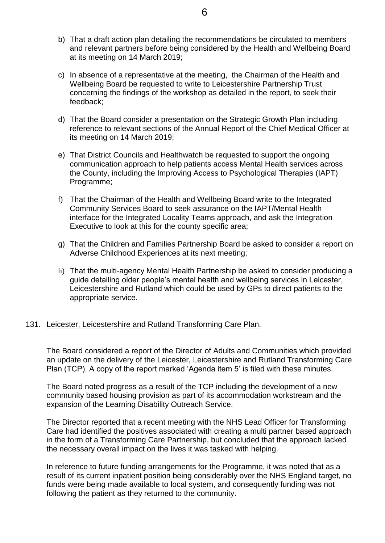- b) That a draft action plan detailing the recommendations be circulated to members and relevant partners before being considered by the Health and Wellbeing Board at its meeting on 14 March 2019;
- c) In absence of a representative at the meeting, the Chairman of the Health and Wellbeing Board be requested to write to Leicestershire Partnership Trust concerning the findings of the workshop as detailed in the report, to seek their feedback;
- d) That the Board consider a presentation on the Strategic Growth Plan including reference to relevant sections of the Annual Report of the Chief Medical Officer at its meeting on 14 March 2019;
- e) That District Councils and Healthwatch be requested to support the ongoing communication approach to help patients access Mental Health services across the County, including the Improving Access to Psychological Therapies (IAPT) Programme;
- f) That the Chairman of the Health and Wellbeing Board write to the Integrated Community Services Board to seek assurance on the IAPT/Mental Health interface for the Integrated Locality Teams approach, and ask the Integration Executive to look at this for the county specific area;
- g) That the Children and Families Partnership Board be asked to consider a report on Adverse Childhood Experiences at its next meeting;
- h) That the multi-agency Mental Health Partnership be asked to consider producing a guide detailing older people's mental health and wellbeing services in Leicester, Leicestershire and Rutland which could be used by GPs to direct patients to the appropriate service.

# 131. Leicester, Leicestershire and Rutland Transforming Care Plan.

The Board considered a report of the Director of Adults and Communities which provided an update on the delivery of the Leicester, Leicestershire and Rutland Transforming Care Plan (TCP). A copy of the report marked 'Agenda item 5' is filed with these minutes.

The Board noted progress as a result of the TCP including the development of a new community based housing provision as part of its accommodation workstream and the expansion of the Learning Disability Outreach Service.

The Director reported that a recent meeting with the NHS Lead Officer for Transforming Care had identified the positives associated with creating a multi partner based approach in the form of a Transforming Care Partnership, but concluded that the approach lacked the necessary overall impact on the lives it was tasked with helping.

In reference to future funding arrangements for the Programme, it was noted that as a result of its current inpatient position being considerably over the NHS England target, no funds were being made available to local system, and consequently funding was not following the patient as they returned to the community.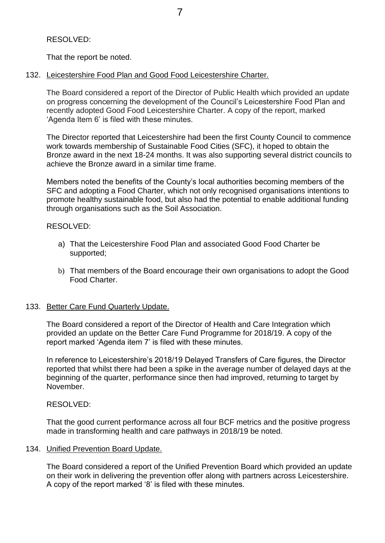# RESOLVED:

That the report be noted.

# 132. Leicestershire Food Plan and Good Food Leicestershire Charter.

The Board considered a report of the Director of Public Health which provided an update on progress concerning the development of the Council's Leicestershire Food Plan and recently adopted Good Food Leicestershire Charter. A copy of the report, marked 'Agenda Item 6' is filed with these minutes.

The Director reported that Leicestershire had been the first County Council to commence work towards membership of Sustainable Food Cities (SFC), it hoped to obtain the Bronze award in the next 18-24 months. It was also supporting several district councils to achieve the Bronze award in a similar time frame.

Members noted the benefits of the County's local authorities becoming members of the SFC and adopting a Food Charter, which not only recognised organisations intentions to promote healthy sustainable food, but also had the potential to enable additional funding through organisations such as the Soil Association.

## RESOLVED:

- a) That the Leicestershire Food Plan and associated Good Food Charter be supported;
- b) That members of the Board encourage their own organisations to adopt the Good Food Charter.

# 133. Better Care Fund Quarterly Update.

The Board considered a report of the Director of Health and Care Integration which provided an update on the Better Care Fund Programme for 2018/19. A copy of the report marked 'Agenda item 7' is filed with these minutes.

In reference to Leicestershire's 2018/19 Delayed Transfers of Care figures, the Director reported that whilst there had been a spike in the average number of delayed days at the beginning of the quarter, performance since then had improved, returning to target by November.

# RESOLVED:

That the good current performance across all four BCF metrics and the positive progress made in transforming health and care pathways in 2018/19 be noted.

# 134. Unified Prevention Board Update.

The Board considered a report of the Unified Prevention Board which provided an update on their work in delivering the prevention offer along with partners across Leicestershire. A copy of the report marked '8' is filed with these minutes.